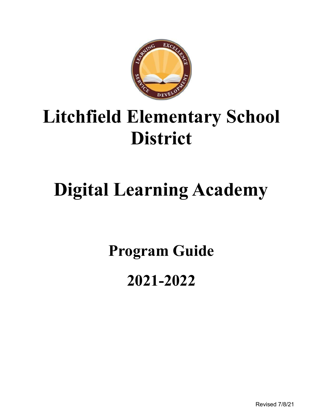

# **Litchfield Elementary School District**

# **Digital Learning Academy**

**Program Guide**

**2021-2022**

Revised 7/8/21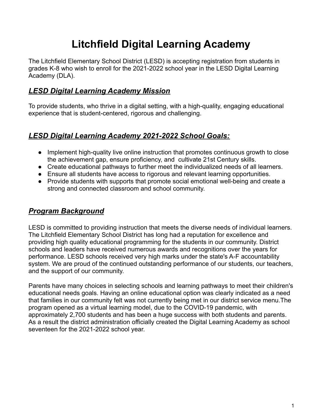# **Litchfield Digital Learning Academy**

The Litchfield Elementary School District (LESD) is accepting registration from students in grades K-8 who wish to enroll for the 2021-2022 school year in the LESD Digital Learning Academy (DLA).

### *LESD Digital Learning Academy Mission*

To provide students, who thrive in a digital setting, with a high-quality, engaging educational experience that is student-centered, rigorous and challenging.

# *LESD Digital Learning Academy 2021-2022 School Goals:*

- Implement high-quality live online instruction that promotes continuous growth to close the achievement gap, ensure proficiency, and cultivate 21st Century skills.
- Create educational pathways to further meet the individualized needs of all learners.
- Ensure all students have access to rigorous and relevant learning opportunities.
- Provide students with supports that promote social emotional well-being and create a strong and connected classroom and school community.

## *Program Background*

LESD is committed to providing instruction that meets the diverse needs of individual learners. The Litchfield Elementary School District has long had a reputation for excellence and providing high quality educational programming for the students in our community. District schools and leaders have received numerous awards and recognitions over the years for performance. LESD schools received very high marks under the state's A-F accountability system. We are proud of the continued outstanding performance of our students, our teachers, and the support of our community.

Parents have many choices in selecting schools and learning pathways to meet their children's educational needs goals. Having an online educational option was clearly indicated as a need that families in our community felt was not currently being met in our district service menu.The program opened as a virtual learning model, due to the COVID-19 pandemic, with approximately 2,700 students and has been a huge success with both students and parents. As a result the district administration officially created the Digital Learning Academy as school seventeen for the 2021-2022 school year.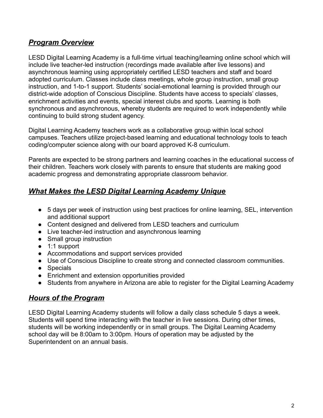### *Program Overview*

LESD Digital Learning Academy is a full-time virtual teaching/learning online school which will include live teacher-led instruction (recordings made available after live lessons) and asynchronous learning using appropriately certified LESD teachers and staff and board adopted curriculum. Classes include class meetings, whole group instruction, small group instruction, and 1-to-1 support. Students' social-emotional learning is provided through our district-wide adoption of Conscious Discipline. Students have access to specials' classes, enrichment activities and events, special interest clubs and sports. Learning is both synchronous and asynchronous, whereby students are required to work independently while continuing to build strong student agency.

Digital Learning Academy teachers work as a collaborative group within local school campuses. Teachers utilize project-based learning and educational technology tools to teach coding/computer science along with our board approved K-8 curriculum.

Parents are expected to be strong partners and learning coaches in the educational success of their children. Teachers work closely with parents to ensure that students are making good academic progress and demonstrating appropriate classroom behavior.

#### *What Makes the LESD Digital Learning Academy Unique*

- 5 days per week of instruction using best practices for online learning, SEL, intervention and additional support
- Content designed and delivered from LESD teachers and curriculum
- Live teacher-led instruction and asynchronous learning
- Small group instruction
- 1:1 support
- Accommodations and support services provided
- Use of Conscious Discipline to create strong and connected classroom communities.
- Specials
- Enrichment and extension opportunities provided
- Students from anywhere in Arizona are able to register for the Digital Learning Academy

#### *Hours of the Program*

LESD Digital Learning Academy students will follow a daily class schedule 5 days a week. Students will spend time interacting with the teacher in live sessions. During other times, students will be working independently or in small groups. The Digital Learning Academy school day will be 8:00am to 3:00pm. Hours of operation may be adjusted by the Superintendent on an annual basis.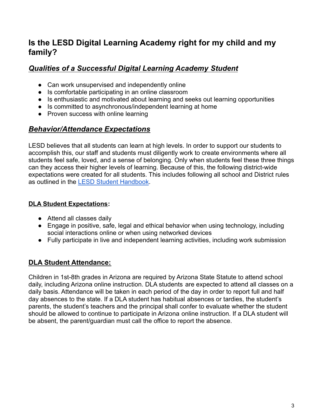# **Is the LESD Digital Learning Academy right for my child and my family?**

# *Qualities of a Successful Digital Learning Academy Student*

- Can work unsupervised and independently online
- Is comfortable participating in an online classroom
- Is enthusiastic and motivated about learning and seeks out learning opportunities
- Is committed to asynchronous/independent learning at home
- Proven success with online learning

# *Behavior/Attendance Expectations*

LESD believes that all students can learn at high levels. In order to support our students to accomplish this, our staff and students must diligently work to create environments where all students feel safe, loved, and a sense of belonging. Only when students feel these three things can they access their higher levels of learning. Because of this, the following district-wide expectations were created for all students. This includes following all school and District rules as outlined in the [LESD Student Handbook](https://www.lesd79.org/family-community/student-and-parent-handbook).

#### **DLA Student Expectations:**

- Attend all classes daily
- Engage in positive, safe, legal and ethical behavior when using technology, including social interactions online or when using networked devices
- Fully participate in live and independent learning activities, including work submission

### **DLA Student Attendance:**

Children in 1st-8th grades in Arizona are required by Arizona State Statute to attend school daily, including Arizona online instruction. DLA students are expected to attend all classes on a daily basis. Attendance will be taken in each period of the day in order to report full and half day absences to the state. If a DLA student has habitual absences or tardies, the student's parents, the student's teachers and the principal shall confer to evaluate whether the student should be allowed to continue to participate in Arizona online instruction. If a DLA student will be absent, the parent/guardian must call the office to report the absence.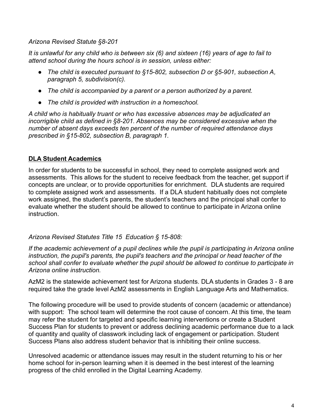#### *Arizona Revised Statute [§8-201](https://1.next.westlaw.com/Link/Document/FullText?findType=L&originatingContext=document&transitionType=DocumentItem&pubNum=1000251&refType=LQ&originatingDoc=I9428a2d0afd711e79ee7e3dae03b79cd&cite=AZSTS8-201)*

*It is unlawful for any child who is between six (6) and sixteen (16) years of age to fail to attend school during the hours school is in session, unless either:*

- *● The child is executed pursuant to [§15-802, subsection](https://1.next.westlaw.com/Link/Document/FullText?findType=L&originatingContext=document&transitionType=DocumentItem&pubNum=1000251&refType=SP&originatingDoc=I942854b0afd711e79ee7e3dae03b79cd&cite=AZSTS15-802) D or [§5-901, subsection A,](https://1.next.westlaw.com/Link/Document/FullText?findType=L&originatingContext=document&transitionType=DocumentItem&pubNum=1000251&refType=SP&originatingDoc=I942854b1afd711e79ee7e3dae03b79cd&cite=AZSTS15-901) paragraph 5, subdivision(c).*
- *● The child is accompanied by a parent or a person authorized by a parent.*
- *● The child is provided with instruction in a homeschool.*

*A child who is habitually truant or who has excessive absences may be adjudicated an incorrigible child as defined in [§8-201](https://1.next.westlaw.com/Link/Document/FullText?findType=L&originatingContext=document&transitionType=DocumentItem&pubNum=1000251&refType=LQ&originatingDoc=I9428a2d0afd711e79ee7e3dae03b79cd&cite=AZSTS8-201). Absences may be considered excessive when the number of absent days exceeds ten percent of the number of required attendance days prescribed in [§15-802, subsection B](https://1.next.westlaw.com/Link/Document/FullText?findType=L&originatingContext=document&transitionType=DocumentItem&pubNum=1000251&refType=SP&originatingDoc=I9428a2d1afd711e79ee7e3dae03b79cd&cite=AZSTS15-802), paragraph 1.*

#### **DLA Student Academics**

In order for students to be successful in school, they need to complete assigned work and assessments. This allows for the student to receive feedback from the teacher, get support if concepts are unclear, or to provide opportunities for enrichment. DLA students are required to complete assigned work and assessments. If a DLA student habitually does not complete work assigned, the student's parents, the student's teachers and the principal shall confer to evaluate whether the student should be allowed to continue to participate in Arizona online instruction.

#### *Arizona Revised Statutes Title 15 Education § 15-808:*

*If the academic achievement of a pupil declines while the pupil is participating in Arizona online instruction, the pupil's parents, the pupil's teachers and the principal or head teacher of the school shall confer to evaluate whether the pupil should be allowed to continue to participate in Arizona online instruction.*

AzM2 is the statewide achievement test for Arizona students. DLA students in Grades 3 - 8 are required take the grade level AzM2 assessments in English Language Arts and Mathematics.

The following procedure will be used to provide students of concern (academic or attendance) with support: The school team will determine the root cause of concern. At this time, the team may refer the student for targeted and specific learning interventions or create a Student Success Plan for students to prevent or address declining academic performance due to a lack of quantity and quality of classwork including lack of engagement or participation. Student Success Plans also address student behavior that is inhibiting their online success.

Unresolved academic or attendance issues may result in the student returning to his or her home school for in-person learning when it is deemed in the best interest of the learning progress of the child enrolled in the Digital Learning Academy.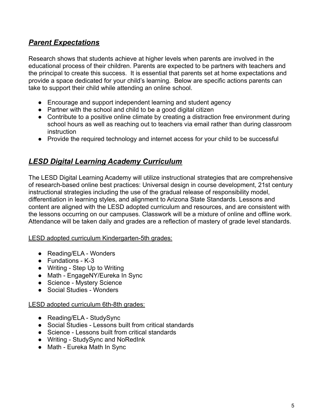### *Parent Expectations*

Research shows that students achieve at higher levels when parents are involved in the educational process of their children. Parents are expected to be partners with teachers and the principal to create this success. It is essential that parents set at home expectations and provide a space dedicated for your child's learning. Below are specific actions parents can take to support their child while attending an online school.

- Encourage and support independent learning and student agency
- Partner with the school and child to be a good digital citizen
- Contribute to a positive online climate by creating a distraction free environment during school hours as well as reaching out to teachers via email rather than during classroom instruction
- Provide the required technology and internet access for your child to be successful

#### *LESD Digital Learning Academy Curriculum*

The LESD Digital Learning Academy will utilize instructional strategies that are comprehensive of research-based online best practices: Universal design in course development, 21st century instructional strategies including the use of the gradual release of responsibility model, differentiation in learning styles, and alignment to Arizona State Standards. Lessons and content are aligned with the LESD adopted curriculum and resources, and are consistent with the lessons occurring on our campuses. Classwork will be a mixture of online and offline work. Attendance will be taken daily and grades are a reflection of mastery of grade level standards.

#### LESD adopted curriculum Kindergarten-5th grades:

- Reading/ELA Wonders
- Fundations K-3
- Writing Step Up to Writing
- Math EngageNY/Eureka In Sync
- Science Mystery Science
- Social Studies Wonders

#### LESD adopted curriculum 6th-8th grades:

- Reading/ELA StudySync
- Social Studies Lessons built from critical standards
- Science Lessons built from critical standards
- Writing StudySync and NoRedInk
- Math Eureka Math In Sync